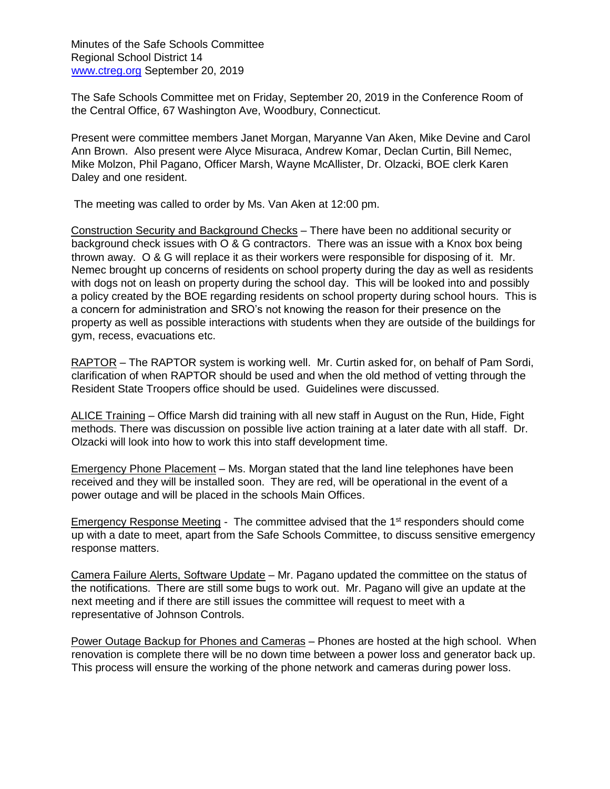Minutes of the Safe Schools Committee Regional School District 14 [www.ctreg.org](http://www.ctreg.org/) September 20, 2019

The Safe Schools Committee met on Friday, September 20, 2019 in the Conference Room of the Central Office, 67 Washington Ave, Woodbury, Connecticut.

Present were committee members Janet Morgan, Maryanne Van Aken, Mike Devine and Carol Ann Brown. Also present were Alyce Misuraca, Andrew Komar, Declan Curtin, Bill Nemec, Mike Molzon, Phil Pagano, Officer Marsh, Wayne McAllister, Dr. Olzacki, BOE clerk Karen Daley and one resident.

The meeting was called to order by Ms. Van Aken at 12:00 pm.

Construction Security and Background Checks – There have been no additional security or background check issues with O & G contractors. There was an issue with a Knox box being thrown away. O & G will replace it as their workers were responsible for disposing of it. Mr. Nemec brought up concerns of residents on school property during the day as well as residents with dogs not on leash on property during the school day. This will be looked into and possibly a policy created by the BOE regarding residents on school property during school hours. This is a concern for administration and SRO's not knowing the reason for their presence on the property as well as possible interactions with students when they are outside of the buildings for gym, recess, evacuations etc.

RAPTOR – The RAPTOR system is working well. Mr. Curtin asked for, on behalf of Pam Sordi, clarification of when RAPTOR should be used and when the old method of vetting through the Resident State Troopers office should be used. Guidelines were discussed.

ALICE Training - Office Marsh did training with all new staff in August on the Run, Hide, Fight methods. There was discussion on possible live action training at a later date with all staff. Dr. Olzacki will look into how to work this into staff development time.

Emergency Phone Placement – Ms. Morgan stated that the land line telephones have been received and they will be installed soon. They are red, will be operational in the event of a power outage and will be placed in the schools Main Offices.

Emergency Response Meeting - The committee advised that the 1<sup>st</sup> responders should come up with a date to meet, apart from the Safe Schools Committee, to discuss sensitive emergency response matters.

Camera Failure Alerts, Software Update – Mr. Pagano updated the committee on the status of the notifications. There are still some bugs to work out. Mr. Pagano will give an update at the next meeting and if there are still issues the committee will request to meet with a representative of Johnson Controls.

Power Outage Backup for Phones and Cameras - Phones are hosted at the high school. When renovation is complete there will be no down time between a power loss and generator back up. This process will ensure the working of the phone network and cameras during power loss.